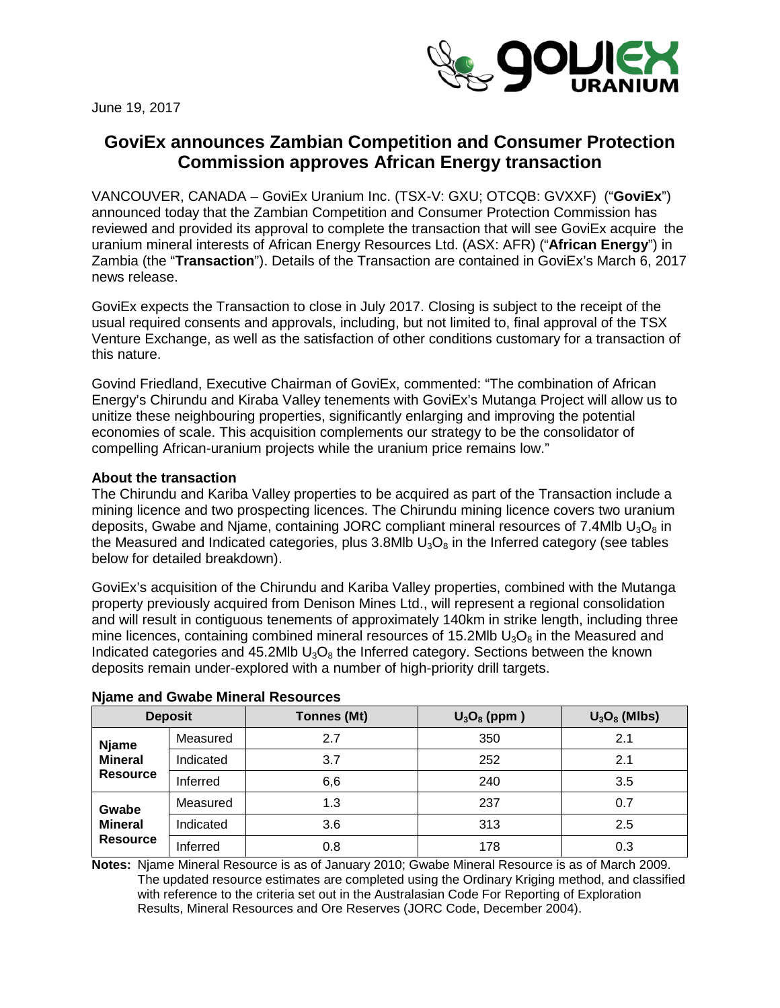

June 19, 2017

# **GoviEx announces Zambian Competition and Consumer Protection Commission approves African Energy transaction**

VANCOUVER, CANADA – GoviEx Uranium Inc. (TSX-V: GXU; OTCQB: GVXXF) ("**GoviEx**") announced today that the Zambian Competition and Consumer Protection Commission has reviewed and provided its approval to complete the transaction that will see GoviEx acquire the uranium mineral interests of African Energy Resources Ltd. (ASX: AFR) ("**African Energy**") in Zambia (the "**Transaction**"). Details of the Transaction are contained in GoviEx's March 6, 2017 news release.

GoviEx expects the Transaction to close in July 2017. Closing is subject to the receipt of the usual required consents and approvals, including, but not limited to, final approval of the TSX Venture Exchange, as well as the satisfaction of other conditions customary for a transaction of this nature.

Govind Friedland, Executive Chairman of GoviEx, commented: "The combination of African Energy's Chirundu and Kiraba Valley tenements with GoviEx's Mutanga Project will allow us to unitize these neighbouring properties, significantly enlarging and improving the potential economies of scale. This acquisition complements our strategy to be the consolidator of compelling African-uranium projects while the uranium price remains low."

## **About the transaction**

The Chirundu and Kariba Valley properties to be acquired as part of the Transaction include a mining licence and two prospecting licences. The Chirundu mining licence covers two uranium deposits, Gwabe and Niame, containing JORC compliant mineral resources of 7.4Mlb  $U_3O_8$  in the Measured and Indicated categories, plus 3.8Mlb  $U_3O_8$  in the Inferred category (see tables below for detailed breakdown).

GoviEx's acquisition of the Chirundu and Kariba Valley properties, combined with the Mutanga property previously acquired from Denison Mines Ltd., will represent a regional consolidation and will result in contiguous tenements of approximately 140km in strike length, including three mine licences, containing combined mineral resources of 15.2Mlb  $U_3O_8$  in the Measured and Indicated categories and 45.2Mlb  $U_3O_8$  the Inferred category. Sections between the known deposits remain under-explored with a number of high-priority drill targets.

| <b>Deposit</b>                                    |           | <b>Tonnes (Mt)</b> | $U_3O_8$ (ppm) | $U_3O_8$ (MIbs) |  |  |
|---------------------------------------------------|-----------|--------------------|----------------|-----------------|--|--|
| <b>Njame</b><br><b>Mineral</b><br><b>Resource</b> | Measured  | 2.7                | 350            | 2.1             |  |  |
|                                                   | Indicated | 3.7                | 252            | 2.1             |  |  |
|                                                   | Inferred  | 6,6                | 240            | 3.5             |  |  |
| Gwabe<br><b>Mineral</b><br><b>Resource</b>        | Measured  | 1.3                | 237            | 0.7             |  |  |
|                                                   | Indicated | 3.6                | 313            | 2.5             |  |  |
|                                                   | Inferred  | 0.8                | 178            | 0.3             |  |  |

#### **Njame and Gwabe Mineral Resources**

**Notes:** Njame Mineral Resource is as of January 2010; Gwabe Mineral Resource is as of March 2009. The updated resource estimates are completed using the Ordinary Kriging method, and classified with reference to the criteria set out in the Australasian Code For Reporting of Exploration Results, Mineral Resources and Ore Reserves (JORC Code, December 2004).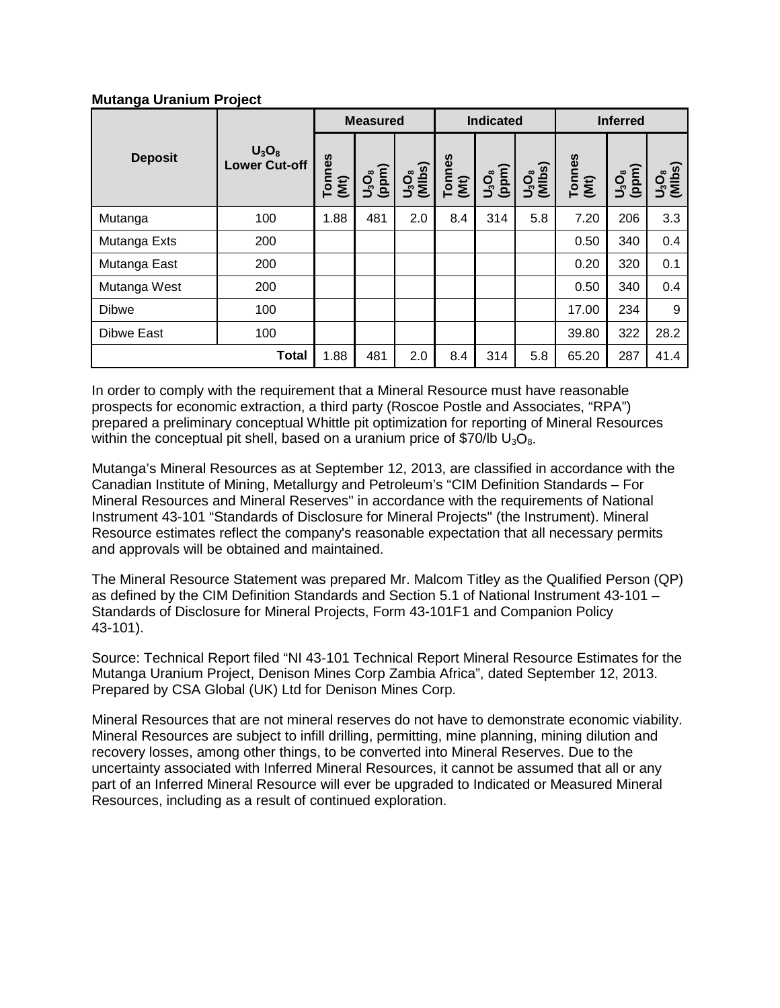# **Mutanga Uranium Project**

|                | $U_3O_8$<br><b>Lower Cut-off</b> | <b>Measured</b> |                      | <b>Indicated</b>   |                | <b>Inferred</b>  |                         |                |                |                                         |
|----------------|----------------------------------|-----------------|----------------------|--------------------|----------------|------------------|-------------------------|----------------|----------------|-----------------------------------------|
| <b>Deposit</b> |                                  | Tonnes<br>(Mt)  | $\frac{0.56}{(ppm)}$ | $U_3O_8$<br>(MIbs) | Tonnes<br>(Mt) | $\frac{1}{2}O_3$ | $\frac{U_3O_8}{(Mlbs)}$ | Tonnes<br>(Mt) | (ppm)<br>ပ္ခံ့ | U <sub>3</sub> O <sub>s</sub><br>(MIbs) |
| Mutanga        | 100                              | 1.88            | 481                  | 2.0                | 8.4            | 314              | 5.8                     | 7.20           | 206            | 3.3                                     |
| Mutanga Exts   | 200                              |                 |                      |                    |                |                  |                         | 0.50           | 340            | 0.4                                     |
| Mutanga East   | 200                              |                 |                      |                    |                |                  |                         | 0.20           | 320            | 0.1                                     |
| Mutanga West   | 200                              |                 |                      |                    |                |                  |                         | 0.50           | 340            | 0.4                                     |
| <b>Dibwe</b>   | 100                              |                 |                      |                    |                |                  |                         | 17.00          | 234            | 9                                       |
| Dibwe East     | 100                              |                 |                      |                    |                |                  |                         | 39.80          | 322            | 28.2                                    |
|                | <b>Total</b>                     | 1.88            | 481                  | 2.0                | 8.4            | 314              | 5.8                     | 65.20          | 287            | 41.4                                    |

In order to comply with the requirement that a Mineral Resource must have reasonable prospects for economic extraction, a third party (Roscoe Postle and Associates, "RPA") prepared a preliminary conceptual Whittle pit optimization for reporting of Mineral Resources within the conceptual pit shell, based on a uranium price of \$70/lb  $U_3O_8$ .

Mutanga's Mineral Resources as at September 12, 2013, are classified in accordance with the Canadian Institute of Mining, Metallurgy and Petroleum's "CIM Definition Standards – For Mineral Resources and Mineral Reserves" in accordance with the requirements of National Instrument 43-101 "Standards of Disclosure for Mineral Projects" (the Instrument). Mineral Resource estimates reflect the company's reasonable expectation that all necessary permits and approvals will be obtained and maintained.

The Mineral Resource Statement was prepared Mr. Malcom Titley as the Qualified Person (QP) as defined by the CIM Definition Standards and Section 5.1 of National Instrument 43-101 – Standards of Disclosure for Mineral Projects, Form 43-101F1 and Companion Policy 43-101).

Source: Technical Report filed "NI 43-101 Technical Report Mineral Resource Estimates for the Mutanga Uranium Project, Denison Mines Corp Zambia Africa", dated September 12, 2013. Prepared by CSA Global (UK) Ltd for Denison Mines Corp.

Mineral Resources that are not mineral reserves do not have to demonstrate economic viability. Mineral Resources are subject to infill drilling, permitting, mine planning, mining dilution and recovery losses, among other things, to be converted into Mineral Reserves. Due to the uncertainty associated with Inferred Mineral Resources, it cannot be assumed that all or any part of an Inferred Mineral Resource will ever be upgraded to Indicated or Measured Mineral Resources, including as a result of continued exploration.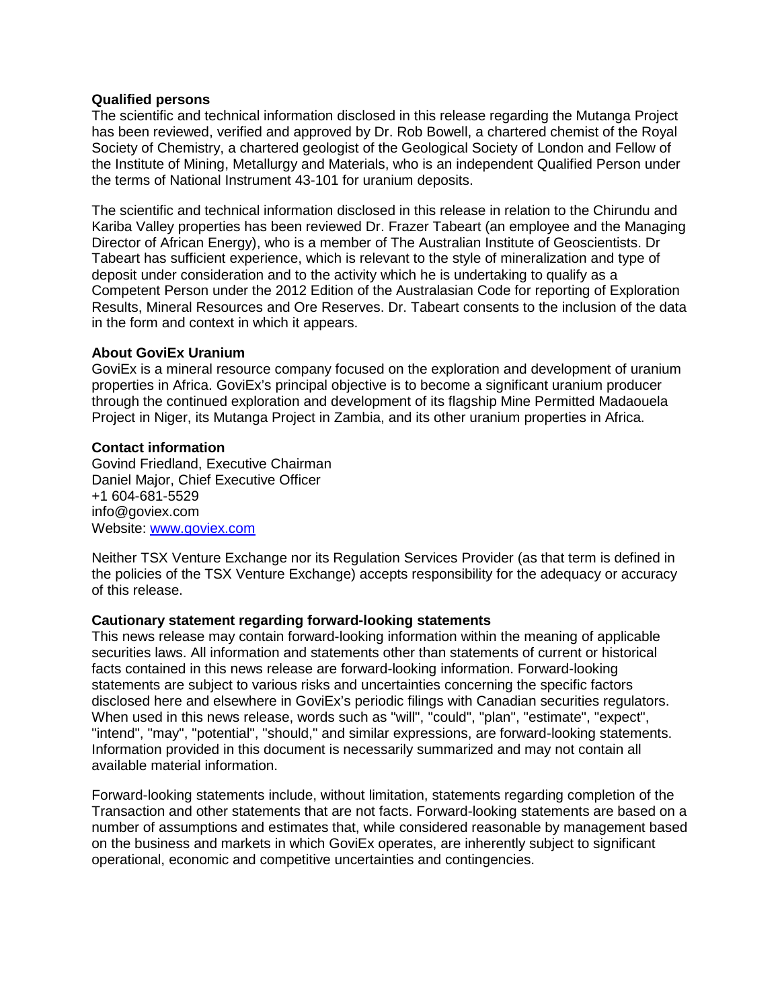#### **Qualified persons**

The scientific and technical information disclosed in this release regarding the Mutanga Project has been reviewed, verified and approved by Dr. Rob Bowell, a chartered chemist of the Royal Society of Chemistry, a chartered geologist of the Geological Society of London and Fellow of the Institute of Mining, Metallurgy and Materials, who is an independent Qualified Person under the terms of National Instrument 43-101 for uranium deposits.

The scientific and technical information disclosed in this release in relation to the Chirundu and Kariba Valley properties has been reviewed Dr. Frazer Tabeart (an employee and the Managing Director of African Energy), who is a member of The Australian Institute of Geoscientists. Dr Tabeart has sufficient experience, which is relevant to the style of mineralization and type of deposit under consideration and to the activity which he is undertaking to qualify as a Competent Person under the 2012 Edition of the Australasian Code for reporting of Exploration Results, Mineral Resources and Ore Reserves. Dr. Tabeart consents to the inclusion of the data in the form and context in which it appears.

## **About GoviEx Uranium**

GoviEx is a mineral resource company focused on the exploration and development of uranium properties in Africa. GoviEx's principal objective is to become a significant uranium producer through the continued exploration and development of its flagship Mine Permitted Madaouela Project in Niger, its Mutanga Project in Zambia, and its other uranium properties in Africa.

#### **Contact information**

Govind Friedland, Executive Chairman Daniel Major, Chief Executive Officer +1 604-681-5529 info@goviex.com Website: [www.goviex.com](http://www.goviex.com/)

Neither TSX Venture Exchange nor its Regulation Services Provider (as that term is defined in the policies of the TSX Venture Exchange) accepts responsibility for the adequacy or accuracy of this release.

## **Cautionary statement regarding forward-looking statements**

This news release may contain forward-looking information within the meaning of applicable securities laws. All information and statements other than statements of current or historical facts contained in this news release are forward-looking information. Forward-looking statements are subject to various risks and uncertainties concerning the specific factors disclosed here and elsewhere in GoviEx's periodic filings with Canadian securities regulators. When used in this news release, words such as "will", "could", "plan", "estimate", "expect", "intend", "may", "potential", "should," and similar expressions, are forward-looking statements. Information provided in this document is necessarily summarized and may not contain all available material information.

Forward-looking statements include, without limitation, statements regarding completion of the Transaction and other statements that are not facts. Forward-looking statements are based on a number of assumptions and estimates that, while considered reasonable by management based on the business and markets in which GoviEx operates, are inherently subject to significant operational, economic and competitive uncertainties and contingencies.